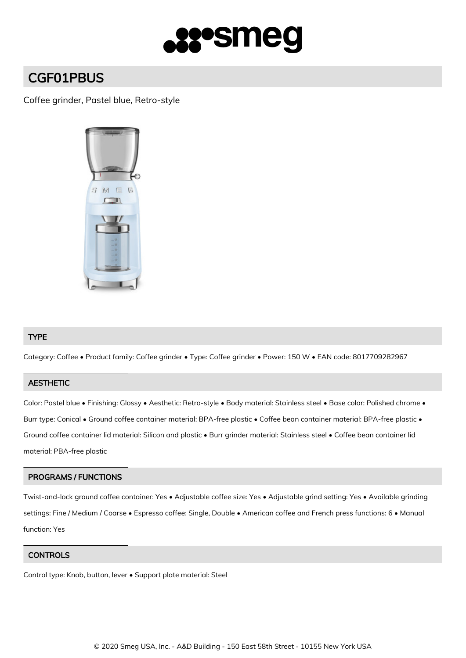

# CGF01PBUS

## Coffee grinder, Pastel blue, Retro-style



## TYPE

Category: Coffee • Product family: Coffee grinder • Type: Coffee grinder • Power: 150 W • EAN code: 8017709282967

## **AESTHETIC**

Color: Pastel blue • Finishing: Glossy • Aesthetic: Retro-style • Body material: Stainless steel • Base color: Polished chrome • Burr type: Conical • Ground coffee container material: BPA-free plastic • Coffee bean container material: BPA-free plastic • Ground coffee container lid material: Silicon and plastic • Burr grinder material: Stainless steel • Coffee bean container lid material: PBA-free plastic

## PROGRAMS / FUNCTIONS

Twist-and-lock ground coffee container: Yes • Adjustable coffee size: Yes • Adjustable grind setting: Yes • Available grinding settings: Fine / Medium / Coarse • Espresso coffee: Single, Double • American coffee and French press functions: 6 • Manual function: Yes

#### **CONTROLS**

Control type: Knob, button, lever • Support plate material: Steel